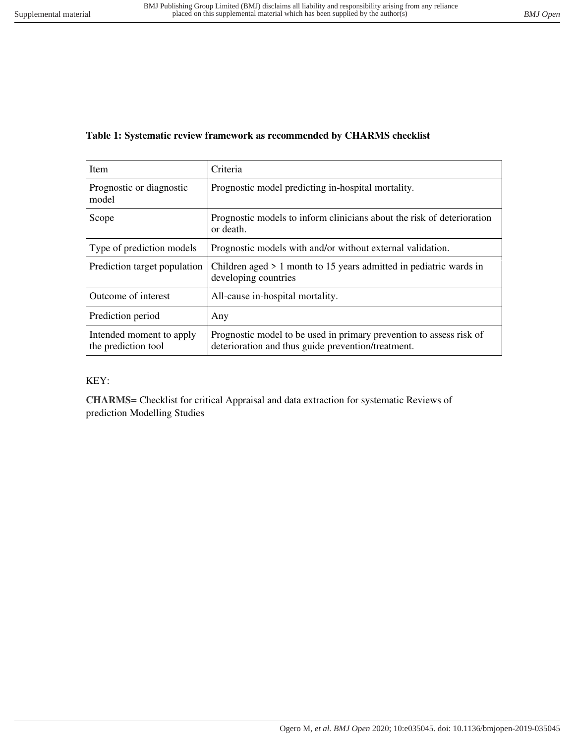## **Table 1: Systematic review framework as recommended by CHARMS checklist**

| Item                                            | Criteria                                                                                                                  |  |
|-------------------------------------------------|---------------------------------------------------------------------------------------------------------------------------|--|
| Prognostic or diagnostic<br>model               | Prognostic model predicting in-hospital mortality.                                                                        |  |
| Scope                                           | Prognostic models to inform clinicians about the risk of deterioration<br>or death.                                       |  |
| Type of prediction models                       | Prognostic models with and/or without external validation.                                                                |  |
| Prediction target population                    | Children aged $> 1$ month to 15 years admitted in pediatric wards in<br>developing countries                              |  |
| Outcome of interest                             | All-cause in-hospital mortality.                                                                                          |  |
| Prediction period                               | Any                                                                                                                       |  |
| Intended moment to apply<br>the prediction tool | Prognostic model to be used in primary prevention to assess risk of<br>deterioration and thus guide prevention/treatment. |  |

## KEY:

**CHARMS=** Checklist for critical Appraisal and data extraction for systematic Reviews of prediction Modelling Studies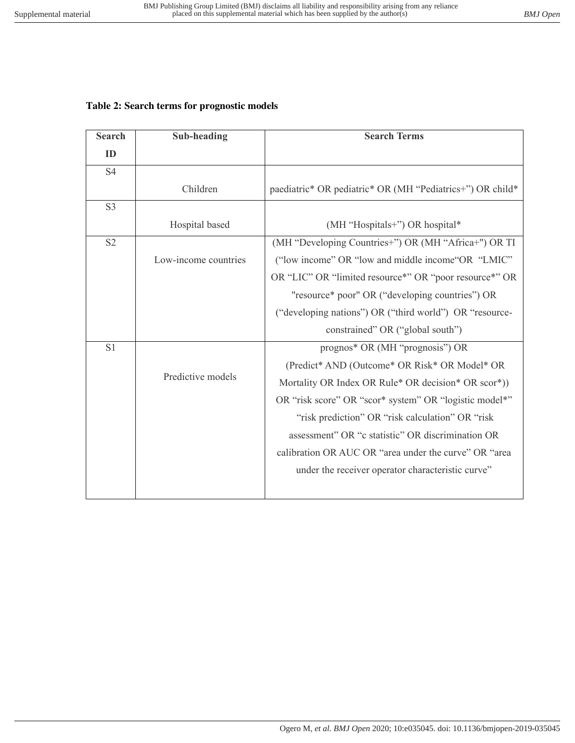## **Table 2: Search terms for prognostic models**

| <b>Search</b>  | <b>Sub-heading</b>   | <b>Search Terms</b>                                       |
|----------------|----------------------|-----------------------------------------------------------|
| ID             |                      |                                                           |
| <b>S4</b>      |                      |                                                           |
|                | Children             | paediatric* OR pediatric* OR (MH "Pediatrics+") OR child* |
| S <sub>3</sub> |                      |                                                           |
|                | Hospital based       | (MH "Hospitals+") OR hospital*                            |
| S <sub>2</sub> |                      | (MH "Developing Countries+") OR (MH "Africa+") OR TI      |
|                | Low-income countries | ("low income" OR "low and middle income"OR "LMIC"         |
|                |                      | OR "LIC" OR "limited resource*" OR "poor resource*" OR    |
|                |                      | "resource* poor" OR ("developing countries") OR           |
|                |                      | ("developing nations") OR ("third world") OR "resource-   |
|                |                      | constrained" OR ("global south")                          |
| S1             | Predictive models    | prognos* OR (MH "prognosis") OR                           |
|                |                      | (Predict* AND (Outcome* OR Risk* OR Model* OR             |
|                |                      | Mortality OR Index OR Rule* OR decision* OR scor*))       |
|                |                      | OR "risk score" OR "scor* system" OR "logistic model*"    |
|                |                      | "risk prediction" OR "risk calculation" OR "risk          |
|                |                      | assessment" OR "c statistic" OR discrimination OR         |
|                |                      | calibration OR AUC OR "area under the curve" OR "area     |
|                |                      | under the receiver operator characteristic curve"         |
|                |                      |                                                           |